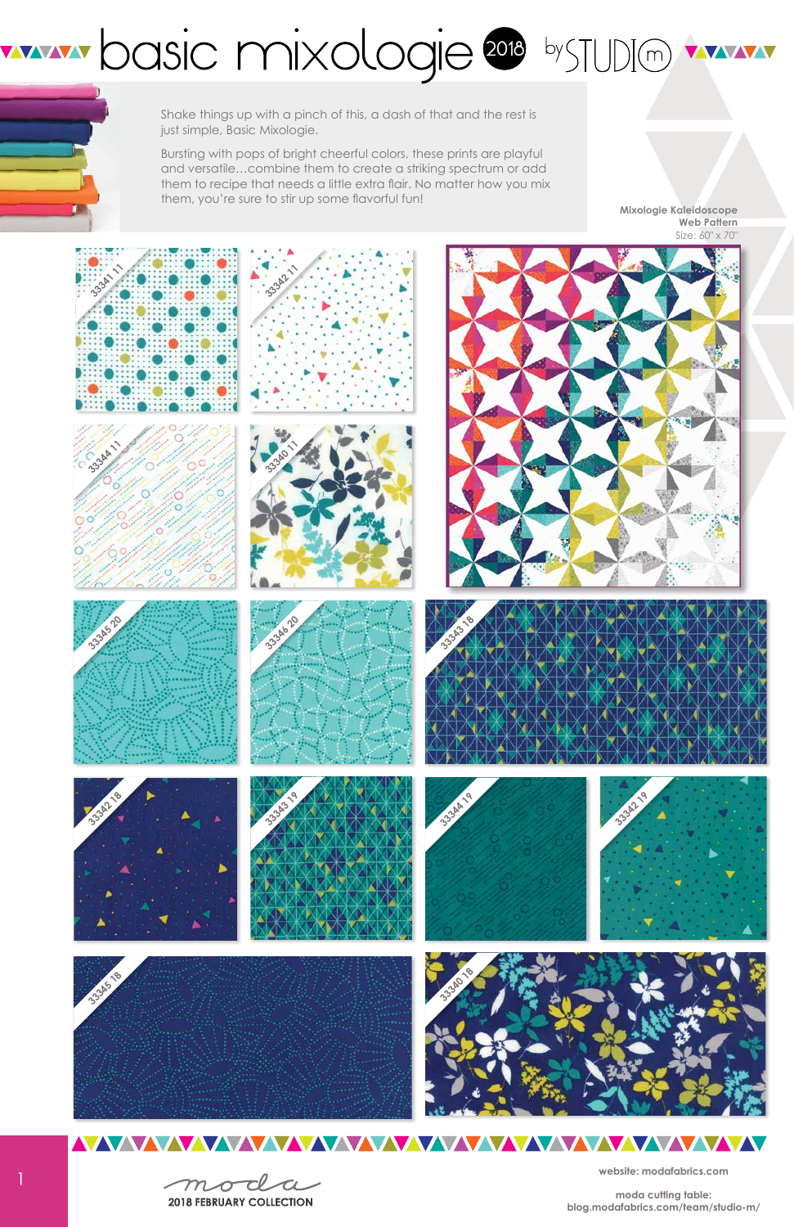1







## WWW.pasic mixologie 2018 by TUDIO WWW.



Shake things up with a pinch of this, a dash of that and the rest is just simple, Basic Mixologie.

Bursting with pops of bright cheerful colors, these prints are playful and versatile…combine them to create a striking spectrum or add them to recipe that needs a little extra flair. No matter how you mix them, you're sure to stir up some flavorful fun!







## <u>NAZAZA WAZAZAZA WAZAZAZA WAZAZAZA WAZAZA WAZA WAZA WAZA WAZA WAZA WAZA WAZA WAZA WAZA WAZA WAZA WAZA WAZA WAZA</u>

moda

**2018 FEBRUARY COLLECTION** 

**website: modafabrics.com**

**moda cutting table: blog.modafabrics.com/team/studio-m/**

**Mixologie Kaleidoscope Web Pattern** Size: 60" x 70"